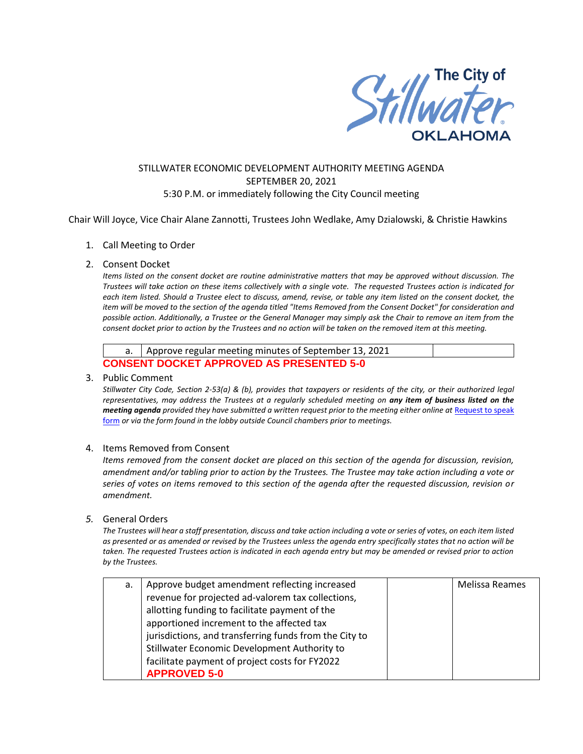

# STILLWATER ECONOMIC DEVELOPMENT AUTHORITY MEETING AGENDA SEPTEMBER 20, 2021 5:30 P.M. or immediately following the City Council meeting

Chair Will Joyce, Vice Chair Alane Zannotti, Trustees John Wedlake, Amy Dzialowski, & Christie Hawkins

### 1. Call Meeting to Order

### 2. Consent Docket

*Items listed on the consent docket are routine administrative matters that may be approved without discussion. The Trustees will take action on these items collectively with a single vote. The requested Trustees action is indicated for each item listed. Should a Trustee elect to discuss, amend, revise, or table any item listed on the consent docket, the item will be moved to the section of the agenda titled "Items Removed from the Consent Docket" for consideration and possible action. Additionally, a Trustee or the General Manager may simply ask the Chair to remove an item from the consent docket prior to action by the Trustees and no action will be taken on the removed item at this meeting.*

|                                                 | a.   Approve regular meeting minutes of September 13, 2021 |  |  |  |  |
|-------------------------------------------------|------------------------------------------------------------|--|--|--|--|
| <b>CONSENT DOCKET APPROVED AS PRESENTED 5-0</b> |                                                            |  |  |  |  |

#### 3. Public Comment

*Stillwater City Code, Section 2-53(a) & (b), provides that taxpayers or residents of the city, or their authorized legal representatives, may address the Trustees at a regularly scheduled meeting on any item of business listed on the meeting agenda provided they have submitted a written request prior to the meeting either online at Request to speak* [form](http://stillwater.org/page/home/government/mayor-city-council/meetings-agendas-minutes/online-request-to-speak-at-city-council) *or via the form found in the lobby outside Council chambers prior to meetings.*

## 4. Items Removed from Consent

*Items removed from the consent docket are placed on this section of the agenda for discussion, revision, amendment and/or tabling prior to action by the Trustees. The Trustee may take action including a vote or series of votes on items removed to this section of the agenda after the requested discussion, revision or amendment.*

#### *5.* General Orders

*The Trustees will hear a staff presentation, discuss and take action including a vote or series of votes, on each item listed as presented or as amended or revised by the Trustees unless the agenda entry specifically states that no action will be taken. The requested Trustees action is indicated in each agenda entry but may be amended or revised prior to action by the Trustees.* 

| а. | Approve budget amendment reflecting increased          | <b>Melissa Reames</b> |
|----|--------------------------------------------------------|-----------------------|
|    | revenue for projected ad-valorem tax collections,      |                       |
|    | allotting funding to facilitate payment of the         |                       |
|    | apportioned increment to the affected tax              |                       |
|    | jurisdictions, and transferring funds from the City to |                       |
|    | Stillwater Economic Development Authority to           |                       |
|    | facilitate payment of project costs for FY2022         |                       |
|    | <b>APPROVED 5-0</b>                                    |                       |